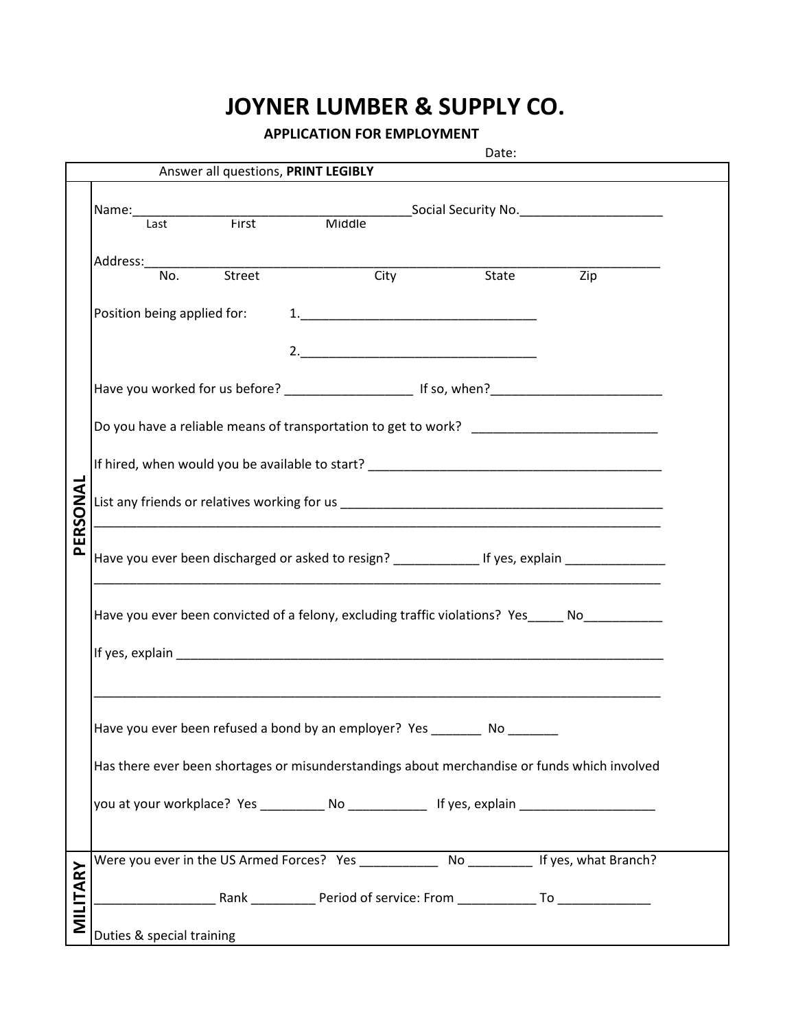## **JOYNER LUMBER & SUPPLY CO.**

## **APPLICATION FOR EMPLOYMENT**

| а<br>ı<br>I |  |
|-------------|--|

|          | Answer all questions, PRINT LEGIBLY                                                                  |             |             |                  |  |  |  |  |
|----------|------------------------------------------------------------------------------------------------------|-------------|-------------|------------------|--|--|--|--|
|          | Name: Last First Middle Social Security No.                                                          |             |             |                  |  |  |  |  |
|          | Address:<br>Street<br>N <sub>O</sub>                                                                 | <u>City</u> | State State | $\overline{Zip}$ |  |  |  |  |
|          | Position being applied for:                                                                          |             |             |                  |  |  |  |  |
|          | Have you worked for us before? __________________________ If so, when?______________________________ |             |             |                  |  |  |  |  |
|          | Do you have a reliable means of transportation to get to work? ________________________              |             |             |                  |  |  |  |  |
|          |                                                                                                      |             |             |                  |  |  |  |  |
| PERSONAL |                                                                                                      |             |             |                  |  |  |  |  |
|          | Have you ever been discharged or asked to resign? ________________ If yes, explain ________________  |             |             |                  |  |  |  |  |
|          | Have you ever been convicted of a felony, excluding traffic violations? Yes_____ No__________        |             |             |                  |  |  |  |  |
|          | Have you ever been refused a bond by an employer? Yes __________ No ________                         |             |             |                  |  |  |  |  |
|          | Has there ever been shortages or misunderstandings about merchandise or funds which involved         |             |             |                  |  |  |  |  |
|          | you at your workplace? Yes ___________ No ______________ If yes, explain __________________________  |             |             |                  |  |  |  |  |
|          | Were you ever in the US Armed Forces? Yes ________________ No ____________ If yes, what Branch?      |             |             |                  |  |  |  |  |
| MILITARY |                                                                                                      |             |             |                  |  |  |  |  |
|          | Duties & special training                                                                            |             |             |                  |  |  |  |  |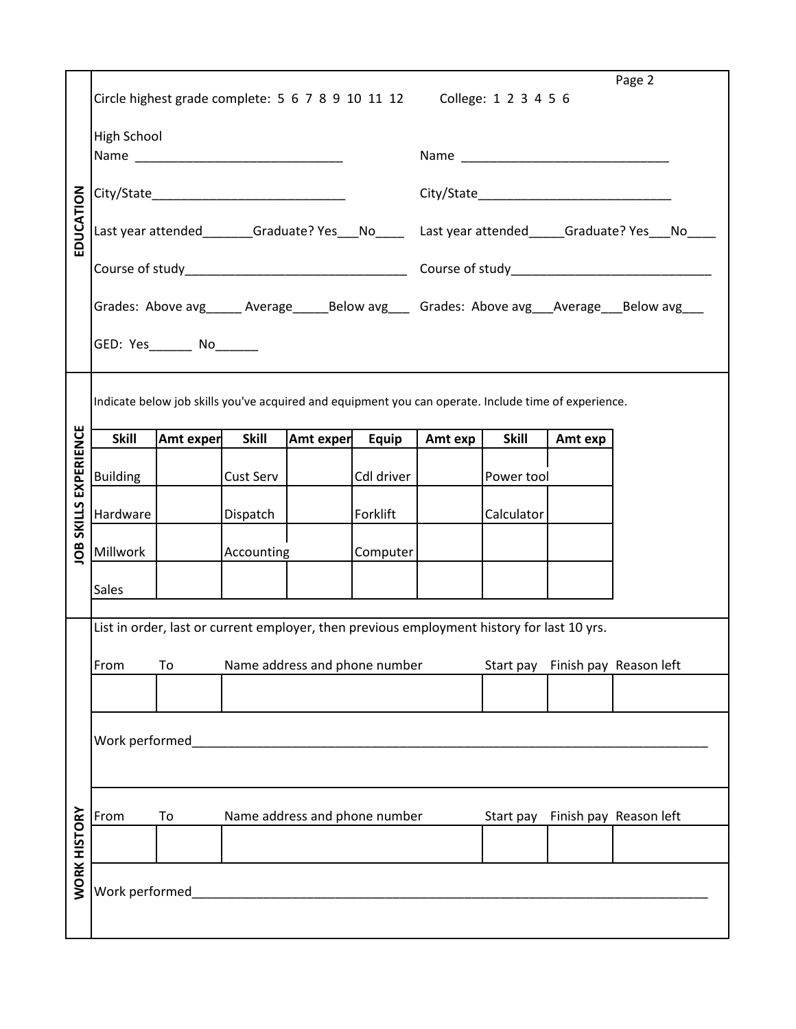|                                             | Page 2                                                                                         |                                                                        |              |                                                                                                      |            |                                  |              |                                  |                                                                                             |
|---------------------------------------------|------------------------------------------------------------------------------------------------|------------------------------------------------------------------------|--------------|------------------------------------------------------------------------------------------------------|------------|----------------------------------|--------------|----------------------------------|---------------------------------------------------------------------------------------------|
|                                             |                                                                                                | Circle highest grade complete: 5 6 7 8 9 10 11 12 College: 1 2 3 4 5 6 |              |                                                                                                      |            |                                  |              |                                  |                                                                                             |
|                                             | <b>High School</b>                                                                             |                                                                        |              |                                                                                                      |            |                                  |              |                                  |                                                                                             |
|                                             |                                                                                                |                                                                        |              |                                                                                                      |            |                                  |              |                                  |                                                                                             |
| EDUCATION                                   | Last year attended_______Graduate? Yes___No_____ Last year attended_____Graduate? Yes___No____ |                                                                        |              |                                                                                                      |            |                                  |              |                                  |                                                                                             |
|                                             |                                                                                                |                                                                        |              |                                                                                                      |            |                                  |              |                                  |                                                                                             |
|                                             |                                                                                                |                                                                        |              |                                                                                                      |            |                                  |              |                                  | Grades: Above avg_____ Average______Below avg___ Grades: Above avg___Average___Below avg___ |
|                                             |                                                                                                | GED: Yes__________ No________                                          |              |                                                                                                      |            |                                  |              |                                  |                                                                                             |
|                                             |                                                                                                |                                                                        |              | Indicate below job skills you've acquired and equipment you can operate. Include time of experience. |            |                                  |              |                                  |                                                                                             |
|                                             | <b>Skill</b>                                                                                   | Amt exper                                                              | <b>Skill</b> | Amt exper Equip                                                                                      |            | Amt exp                          | <b>Skill</b> | Amt exp                          |                                                                                             |
| EXPERIENCE                                  | <b>Building</b>                                                                                |                                                                        | Cust Serv    |                                                                                                      | Cdl driver |                                  | Power tool   |                                  |                                                                                             |
|                                             |                                                                                                |                                                                        |              |                                                                                                      |            |                                  |              |                                  |                                                                                             |
| SKILLS                                      | Hardware                                                                                       |                                                                        | Dispatch     |                                                                                                      | Forklift   |                                  | Calculator   |                                  |                                                                                             |
| <b>AO</b>                                   | Millwork                                                                                       |                                                                        | Accounting   |                                                                                                      | Computer   |                                  |              |                                  |                                                                                             |
|                                             | <b>Sales</b>                                                                                   |                                                                        |              |                                                                                                      |            |                                  |              |                                  |                                                                                             |
|                                             |                                                                                                |                                                                        |              | List in order, last or current employer, then previous employment history for last 10 yrs.           |            |                                  |              |                                  |                                                                                             |
|                                             |                                                                                                |                                                                        |              |                                                                                                      |            |                                  |              |                                  |                                                                                             |
| From<br>Name address and phone number<br>To |                                                                                                |                                                                        |              |                                                                                                      |            | Start pay Finish pay Reason left |              |                                  |                                                                                             |
|                                             |                                                                                                |                                                                        |              |                                                                                                      |            |                                  |              |                                  |                                                                                             |
|                                             | Work performed_                                                                                |                                                                        |              |                                                                                                      |            |                                  |              |                                  |                                                                                             |
|                                             |                                                                                                |                                                                        |              |                                                                                                      |            |                                  |              |                                  |                                                                                             |
|                                             | From<br>Name address and phone number<br>To                                                    |                                                                        |              |                                                                                                      |            |                                  |              | Start pay Finish pay Reason left |                                                                                             |
|                                             |                                                                                                |                                                                        |              |                                                                                                      |            |                                  |              |                                  |                                                                                             |
| <b>NORK HISTORY</b>                         | Work performed                                                                                 |                                                                        |              | <u> 1989 - Johann Barbara, martxa alemaniar arg</u>                                                  |            |                                  |              |                                  |                                                                                             |
|                                             |                                                                                                |                                                                        |              |                                                                                                      |            |                                  |              |                                  |                                                                                             |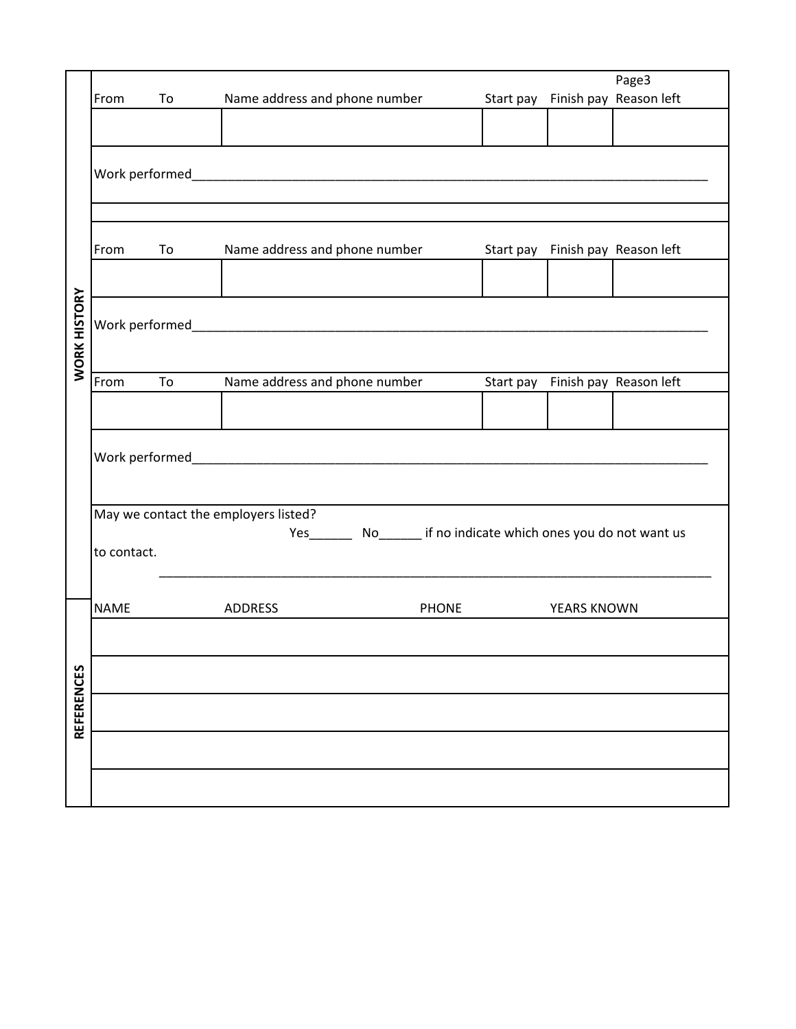|                     |                                                                                      |                                                                                                                                                                                                                                |                               |  |  |                   | Page3                            |
|---------------------|--------------------------------------------------------------------------------------|--------------------------------------------------------------------------------------------------------------------------------------------------------------------------------------------------------------------------------|-------------------------------|--|--|-------------------|----------------------------------|
|                     | From                                                                                 | To                                                                                                                                                                                                                             | Name address and phone number |  |  |                   | Start pay Finish pay Reason left |
|                     |                                                                                      |                                                                                                                                                                                                                                |                               |  |  |                   |                                  |
|                     |                                                                                      |                                                                                                                                                                                                                                |                               |  |  |                   |                                  |
|                     |                                                                                      |                                                                                                                                                                                                                                |                               |  |  |                   |                                  |
|                     |                                                                                      |                                                                                                                                                                                                                                |                               |  |  |                   |                                  |
|                     | From                                                                                 | <b>To</b>                                                                                                                                                                                                                      | Name address and phone number |  |  |                   | Start pay Finish pay Reason left |
|                     |                                                                                      |                                                                                                                                                                                                                                |                               |  |  |                   |                                  |
| <b>WORK HISTORY</b> |                                                                                      |                                                                                                                                                                                                                                |                               |  |  |                   |                                  |
|                     |                                                                                      |                                                                                                                                                                                                                                |                               |  |  |                   |                                  |
|                     |                                                                                      |                                                                                                                                                                                                                                |                               |  |  |                   |                                  |
|                     | From                                                                                 | To the control of the control of the control of the control of the control of the control of the control of the control of the control of the control of the control of the control of the control of the control of the contr | Name address and phone number |  |  |                   | Start pay Finish pay Reason left |
|                     |                                                                                      |                                                                                                                                                                                                                                |                               |  |  |                   |                                  |
|                     |                                                                                      |                                                                                                                                                                                                                                |                               |  |  |                   |                                  |
|                     |                                                                                      |                                                                                                                                                                                                                                |                               |  |  |                   |                                  |
|                     | May we contact the employers listed?                                                 |                                                                                                                                                                                                                                |                               |  |  |                   |                                  |
|                     | Yes__________ No________ if no indicate which ones you do not want us<br>to contact. |                                                                                                                                                                                                                                |                               |  |  |                   |                                  |
|                     |                                                                                      |                                                                                                                                                                                                                                |                               |  |  |                   |                                  |
|                     | <b>NAME</b>                                                                          | <b>ADDRESS</b>                                                                                                                                                                                                                 |                               |  |  | PHONE YEARS KNOWN |                                  |
|                     |                                                                                      |                                                                                                                                                                                                                                |                               |  |  |                   |                                  |
|                     |                                                                                      |                                                                                                                                                                                                                                |                               |  |  |                   |                                  |
|                     |                                                                                      |                                                                                                                                                                                                                                |                               |  |  |                   |                                  |
| <b>REFERENCES</b>   |                                                                                      |                                                                                                                                                                                                                                |                               |  |  |                   |                                  |
|                     |                                                                                      |                                                                                                                                                                                                                                |                               |  |  |                   |                                  |
|                     |                                                                                      |                                                                                                                                                                                                                                |                               |  |  |                   |                                  |
|                     |                                                                                      |                                                                                                                                                                                                                                |                               |  |  |                   |                                  |